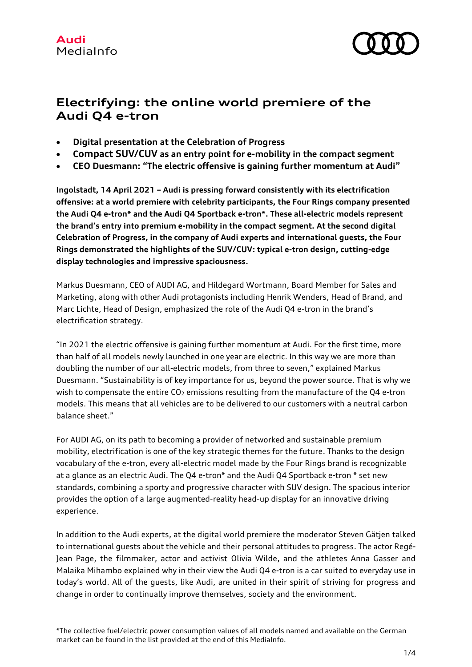

# **Electrifying: the online world premiere of the Audi Q4 e-tron**

- **Digital presentation at the Celebration of Progress**
- **Compact SUV/CUV as an entry point for e-mobility in the compact segment**
- **CEO Duesmann: "The electric offensive is gaining further momentum at Audi"**

**Ingolstadt, 14 April 2021 – Audi is pressing forward consistently with its electrification offensive: at a world premiere with celebrity participants, the Four Rings company presented the Audi Q4 e-tron\* and the Audi Q4 Sportback e-tron\*. These all-electric models represent the brand's entry into premium e-mobility in the compact segment. At the second digital Celebration of Progress, in the company of Audi experts and international guests, the Four Rings demonstrated the highlights of the SUV/CUV: typical e-tron design, cutting-edge display technologies and impressive spaciousness.** 

Markus Duesmann, CEO of AUDI AG, and Hildegard Wortmann, Board Member for Sales and Marketing, along with other Audi protagonists including Henrik Wenders, Head of Brand, and Marc Lichte, Head of Design, emphasized the role of the Audi Q4 e-tron in the brand's electrification strategy.

"In 2021 the electric offensive is gaining further momentum at Audi. For the first time, more than half of all models newly launched in one year are electric. In this way we are more than doubling the number of our all-electric models, from three to seven," explained Markus Duesmann. "Sustainability is of key importance for us, beyond the power source. That is why we wish to compensate the entire  $CO<sub>2</sub>$  emissions resulting from the manufacture of the Q4 e-tron models. This means that all vehicles are to be delivered to our customers with a neutral carbon balance sheet."

For AUDI AG, on its path to becoming a provider of networked and sustainable premium mobility, electrification is one of the key strategic themes for the future. Thanks to the design vocabulary of the e-tron, every all-electric model made by the Four Rings brand is recognizable at a glance as an electric Audi. The Q4 e-tron\* and the Audi Q4 Sportback e-tron \* set new standards, combining a sporty and progressive character with SUV design. The spacious interior provides the option of a large augmented-reality head-up display for an innovative driving experience.

In addition to the Audi experts, at the digital world premiere the moderator Steven Gätjen talked to international guests about the vehicle and their personal attitudes to progress. The actor Regé-Jean Page, the filmmaker, actor and activist Olivia Wilde, and the athletes Anna Gasser and Malaika Mihambo explained why in their view the Audi Q4 e-tron is a car suited to everyday use in today's world. All of the guests, like Audi, are united in their spirit of striving for progress and change in order to continually improve themselves, society and the environment.

\*The collective fuel/electric power consumption values of all models named and available on the German market can be found in the list provided at the end of this MediaInfo.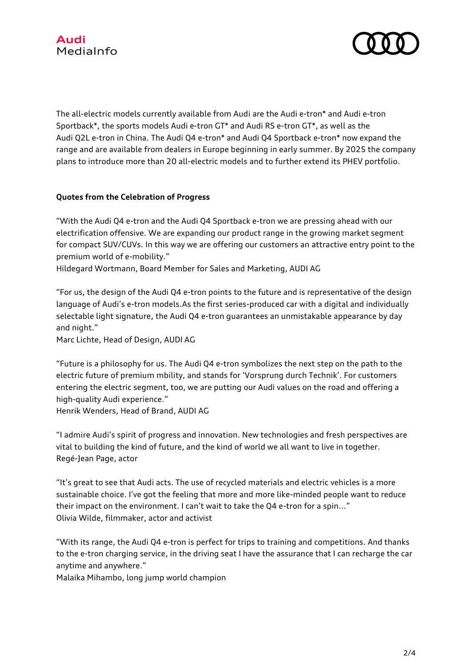

The all-electric models currently available from Audi are the Audi e-tron\* and Audi e-tron Sportback\*, the sports models Audi e-tron GT\* and Audi RS e-tron GT\*, as well as the Audi Q2L e-tron in China. The Audi Q4 e-tron\* and Audi Q4 Sportback e-tron\* now expand the range and are available from dealers in Europe beginning in early summer. By 2025 the company plans to introduce more than 20 all-electric models and to further extend its PHEV portfolio.

# **Quotes from the Celebration of Progress**

"With the Audi Q4 e-tron and the Audi Q4 Sportback e-tron we are pressing ahead with our electrification offensive. We are expanding our product range in the growing market segment for compact SUV/CUVs. In this way we are offering our customers an attractive entry point to the premium world of e-mobility."

Hildegard Wortmann, Board Member for Sales and Marketing, AUDI AG

"For us, the design of the Audi Q4 e-tron points to the future and is representative of the design language of Audi's e-tron models.As the first series-produced car with a digital and individually selectable light signature, the Audi Q4 e-tron guarantees an unmistakable appearance by day and night."

Marc Lichte, Head of Design, AUDI AG

"Future is a philosophy for us. The Audi Q4 e-tron symbolizes the next step on the path to the electric future of premium mbility, and stands for 'Vorsprung durch Technik'. For customers entering the electric segment, too, we are putting our Audi values on the road and offering a high-quality Audi experience."

Henrik Wenders, Head of Brand, AUDI AG

"I admire Audi's spirit of progress and innovation. New technologies and fresh perspectives are vital to building the kind of future, and the kind of world we all want to live in together. Regé-Jean Page, actor

"It's great to see that Audi acts. The use of recycled materials and electric vehicles is a more sustainable choice. I've got the feeling that more and more like-minded people want to reduce their impact on the environment. I can't wait to take the Q4 e-tron for a spin..." Olivia Wilde, filmmaker, actor and activist

"With its range, the Audi Q4 e-tron is perfect for trips to training and competitions. And thanks to the e-tron charging service, in the driving seat I have the assurance that I can recharge the car anytime and anywhere."

Malaika Mihambo, long jump world champion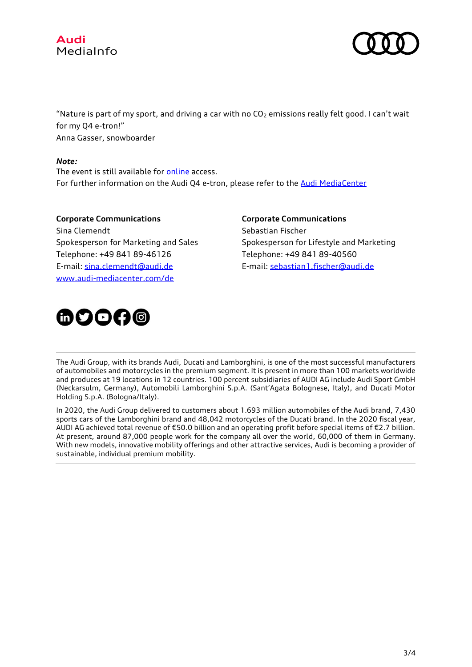



"Nature is part of my sport, and driving a car with no  $CO<sub>2</sub>$  emissions really felt good. I can't wait for my Q4 e-tron!" Anna Gasser, snowboarder

# *Note:*

The event is still available for [online](http://www.progress.audi/) access. For further information on the Audi Q4 e-tron, please refer to the [Audi MediaCenter](https://www.audi-mediacenter.com/en/presskits/audi-q4-e-tron-and-audi-q4-sportback-e-tron-13914)

**Corporate Communications** Sina Clemendt Spokesperson for Marketing and Sales Telephone: +49 841 89-46126 E-mail: [sina.clemendt@audi.de](mailto:sina.clemendt@audi.de) [www.audi-mediacenter.com/de](http://www.audi-mediacenter.com/de)

**Corporate Communications** Sebastian Fischer Spokesperson for Lifestyle and Marketing Telephone: +49 841 89-40560 E-mail: [sebastian1.fischer@audi.de](mailto:sebastian1.fischer@audi.de)



The Audi Group, with its brands Audi, Ducati and Lamborghini, is one of the most successful manufacturers of automobiles and motorcycles in the premium segment. It is present in more than 100 markets worldwide and produces at 19 locations in 12 countries. 100 percent subsidiaries of AUDI AG include Audi Sport GmbH (Neckarsulm, Germany), Automobili Lamborghini S.p.A. (Sant'Agata Bolognese, Italy), and Ducati Motor Holding S.p.A. (Bologna/Italy).

In 2020, the Audi Group delivered to customers about 1.693 million automobiles of the Audi brand, 7,430 sports cars of the Lamborghini brand and 48,042 motorcycles of the Ducati brand. In the 2020 fiscal year, AUDI AG achieved total revenue of €50.0 billion and an operating profit before special items of €2.7 billion. At present, around 87,000 people work for the company all over the world, 60,000 of them in Germany. With new models, innovative mobility offerings and other attractive services, Audi is becoming a provider of sustainable, individual premium mobility.